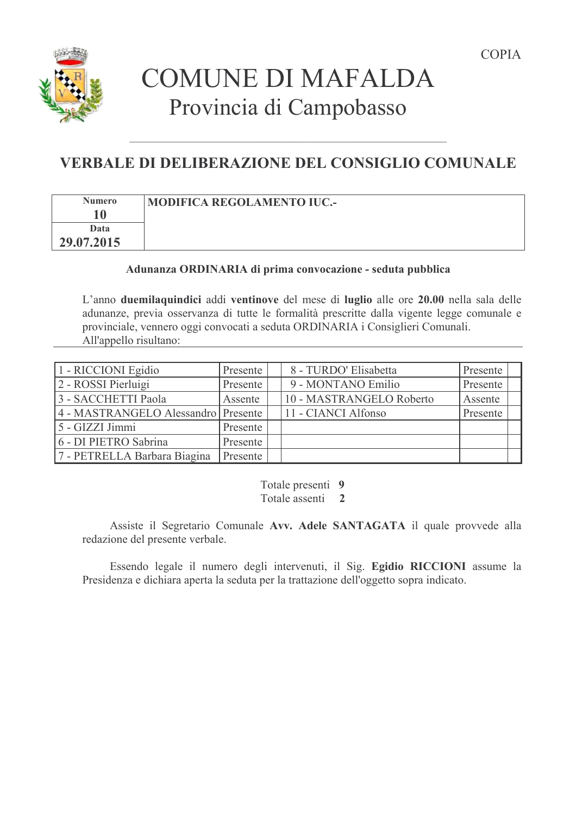



# **COMUNE DI MAFALDA** Provincia di Campobasso

# **VERBALE DI DELIBERAZIONE DEL CONSIGLIO COMUNALE**

| <b>Numero</b> | MODIFICA REGOLAMENTO IUC.- |
|---------------|----------------------------|
| Data          |                            |
| 29.07.2015    |                            |

### Adunanza ORDINARIA di prima convocazione - seduta pubblica

L'anno due milaquindici addi ventinove del mese di luglio alle ore 20.00 nella sala delle adunanze, previa osservanza di tutte le formalità prescritte dalla vigente legge comunale e provinciale, vennero oggi convocati a seduta ORDINARIA i Consiglieri Comunali. All'appello risultano:

| 1 - RICCIONI Egidio                 | Presente | 8 - TURDO' Elisabetta    | Presente |  |
|-------------------------------------|----------|--------------------------|----------|--|
| 2 - ROSSI Pierluigi                 | Presente | 9 - MONTANO Emilio       | Presente |  |
| 3 - SACCHETTI Paola                 | Assente  | 10 - MASTRANGELO Roberto | Assente  |  |
| 4 - MASTRANGELO Alessandro Presente |          | 11 - CIANCI Alfonso      | Presente |  |
| 5 - GIZZI Jimmi                     | Presente |                          |          |  |
| 6 - DI PIETRO Sabrina               | Presente |                          |          |  |
| 7 - PETRELLA Barbara Biagina        | Presente |                          |          |  |

Totale presenti 9 Totale assenti 2

Assiste il Segretario Comunale Avv. Adele SANTAGATA il quale provvede alla redazione del presente verbale.

Essendo legale il numero degli intervenuti, il Sig. Egidio RICCIONI assume la Presidenza e dichiara aperta la seduta per la trattazione dell'oggetto sopra indicato.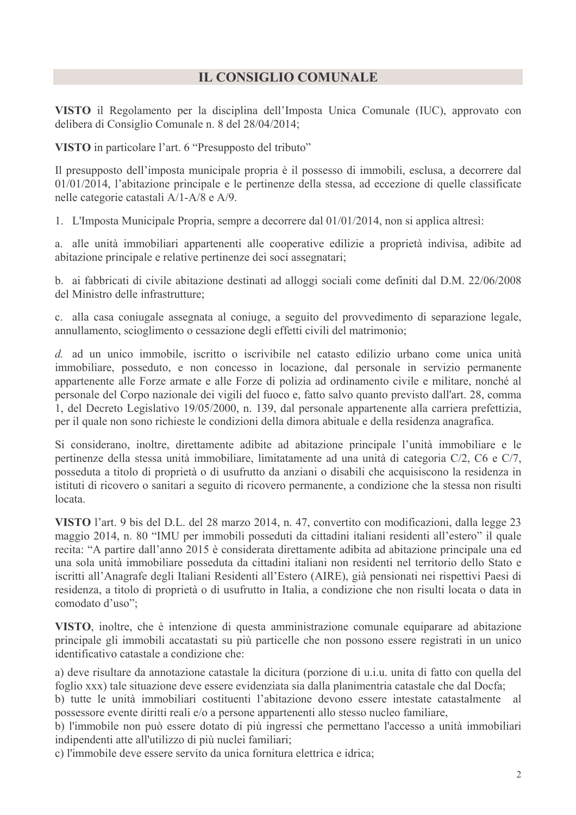# **IL CONSIGLIO COMUNALE**

VISTO il Regolamento per la disciplina dell'Imposta Unica Comunale (IUC), approvato con delibera di Consiglio Comunale n. 8 del 28/04/2014;

VISTO in particolare l'art. 6 "Presupposto del tributo"

Il presupposto dell'imposta municipale propria è il possesso di immobili, esclusa, a decorrere dal  $01/01/2014$ , l'abitazione principale e le pertinenze della stessa, ad eccezione di quelle classificate nelle categorie catastali A/1-A/8 e A/9.

1. L'Imposta Municipale Propria, sempre a decorrere dal 01/01/2014, non si applica altresi:

a. alle unità immobiliari appartenenti alle cooperative edilizie a proprietà indivisa, adibite ad abitazione principale e relative pertinenze dei soci assegnatari;

b. ai fabbricati di civile abitazione destinati ad alloggi sociali come definiti dal D.M. 22/06/2008 del Ministro delle infrastrutture;

c. alla casa conjugale assegnata al conjuge, a seguito del provvedimento di separazione legale, annullamento, scioglimento o cessazione degli effetti civili del matrimonio;

d. ad un unico immobile, iscritto o iscrivibile nel catasto edilizio urbano come unica unità immobiliare, posseduto, e non concesso in locazione, dal personale in servizio permanente appartenente alle Forze armate e alle Forze di polizia ad ordinamento civile e militare, nonché al personale del Corpo nazionale dei vigili del fuoco e, fatto salvo quanto previsto dall'art. 28, comma 1, del Decreto Legislativo 19/05/2000, n. 139, dal personale appartenente alla carriera prefettizia, per il quale non sono richieste le condizioni della dimora abituale e della residenza anagrafica.

Si considerano, inoltre, direttamente adibite ad abitazione principale l'unità immobiliare e le pertinenze della stessa unità immobiliare, limitatamente ad una unità di categoria C/2, C6 e C/7, posseduta a titolo di proprietà o di usufrutto da anziani o disabili che acquisiscono la residenza in istituti di ricovero o sanitari a seguito di ricovero permanente, a condizione che la stessa non risulti locata.

VISTO l'art. 9 bis del D.L. del 28 marzo 2014, n. 47, convertito con modificazioni, dalla legge 23 maggio 2014, n. 80 "IMU per immobili posseduti da cittadini italiani residenti all'estero" il quale recita: "A partire dall'anno 2015 è considerata direttamente adibita ad abitazione principale una ed una sola unità immobiliare posseduta da cittadini italiani non residenti nel territorio dello Stato e iscritti all'Anagrafe degli Italiani Residenti all'Estero (AIRE), già pensionati nei rispettivi Paesi di residenza, a titolo di proprietà o di usufrutto in Italia, a condizione che non risulti locata o data in comodato d'uso";

VISTO, inoltre, che è intenzione di questa amministrazione comunale equiparare ad abitazione principale gli immobili accatastati su più particelle che non possono essere registrati in un unico identificativo catastale a condizione che:

a) deve risultare da annotazione catastale la dicitura (porzione di u.i.u. unita di fatto con quella del foglio xxx) tale situazione deve essere evidenziata sia dalla planimentria catastale che dal Docfa;

b) tutte le unità immobiliari costituenti l'abitazione devono essere intestate catastalmente al possessore evente diritti reali e/o a persone appartenenti allo stesso nucleo familiare,

b) l'immobile non può essere dotato di più ingressi che permettano l'accesso a unità immobiliari indipendenti atte all'utilizzo di più nuclei familiari;

c) l'immobile deve essere servito da unica fornitura elettrica e idrica;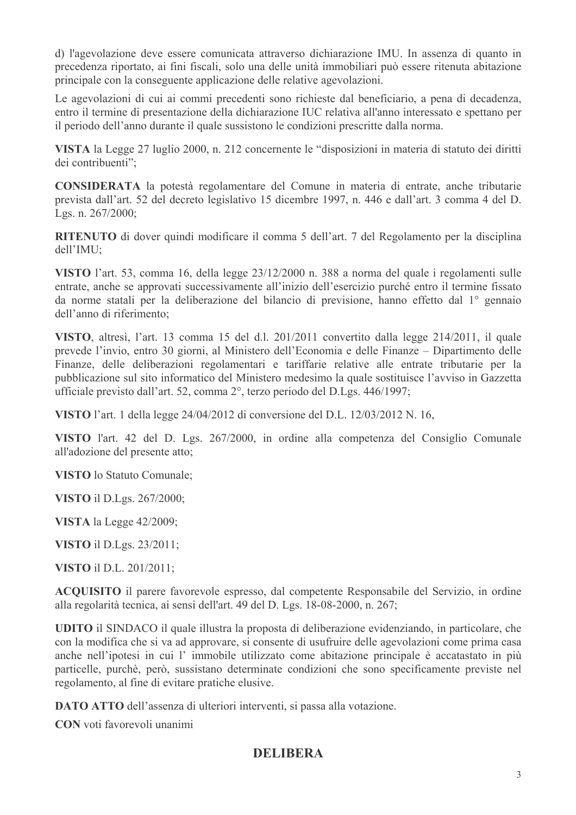d) l'agevolazione deve essere comunicata attraverso dichiarazione IMU. In assenza di quanto in precedenza riportato, ai fini fiscali, solo una delle unità immobiliari può essere ritenuta abitazione principale con la conseguente applicazione delle relative agevolazioni.

Le agevolazioni di cui ai commi precedenti sono richieste dal beneficiario, a pena di decadenza, entro il termine di presentazione della dichiarazione IUC relativa all'anno interessato e spettano per il periodo dell'anno durante il quale sussistono le condizioni prescritte dalla norma.

VISTA la Legge 27 luglio 2000, n. 212 concernente le "disposizioni in materia di statuto dei diritti dei contribuenti":

CONSIDERATA la potestà regolamentare del Comune in materia di entrate, anche tributarie prevista dall'art. 52 del decreto legislativo 15 dicembre 1997, n. 446 e dall'art. 3 comma 4 del D. Lgs. n. 267/2000;

RITENUTO di dover quindi modificare il comma 5 dell'art. 7 del Regolamento per la disciplina  $dell'IMU:$ 

VISTO l'art. 53, comma 16, della legge 23/12/2000 n. 388 a norma del quale i regolamenti sulle entrate, anche se approvati successivamente all'inizio dell'esercizio purché entro il termine fissato da norme statali per la deliberazione del bilancio di previsione, hanno effetto dal 1<sup>°</sup> gennaio dell'anno di riferimento:

VISTO, altresì, l'art. 13 comma 15 del d.l. 201/2011 convertito dalla legge 214/2011, il quale prevede l'invio, entro 30 giorni, al Ministero dell'Economia e delle Finanze – Dipartimento delle Finanze, delle deliberazioni regolamentari e tariffarie relative alle entrate tributarie per la pubblicazione sul sito informatico del Ministero medesimo la quale sostituisce l'avviso in Gazzetta ufficiale previsto dall'art. 52, comma 2°, terzo periodo del D.Lgs. 446/1997;

VISTO l'art. 1 della legge 24/04/2012 di conversione del D.L. 12/03/2012 N. 16,

VISTO l'art. 42 del D. Lgs. 267/2000, in ordine alla competenza del Consiglio Comunale all'adozione del presente atto;

**VISTO** lo Statuto Comunale;

**VISTO** il D.Lgs. 267/2000;

VISTA la Legge 42/2009;

**VISTO** il D.Lgs. 23/2011;

**VISTO** il D.L. 201/2011:

**ACOUISITO** il parere favorevole espresso, dal competente Responsabile del Servizio, in ordine alla regolarità tecnica, ai sensi dell'art. 49 del D. Lgs. 18-08-2000, n. 267;

**UDITO** il SINDACO il quale illustra la proposta di deliberazione evidenziando, in particolare, che con la modifica che si va ad approvare, si consente di usufruire delle agevolazioni come prima casa anche nell'ipotesi in cui l'immobile utilizzato come abitazione principale è accatastato in più particelle, purchè, però, sussistano determinate condizioni che sono specificamente previste nel regolamento, al fine di evitare pratiche elusive.

**DATO ATTO** dell'assenza di ulteriori interventi, si passa alla votazione.

**CON** voti favorevoli unanimi

# **DELIBERA**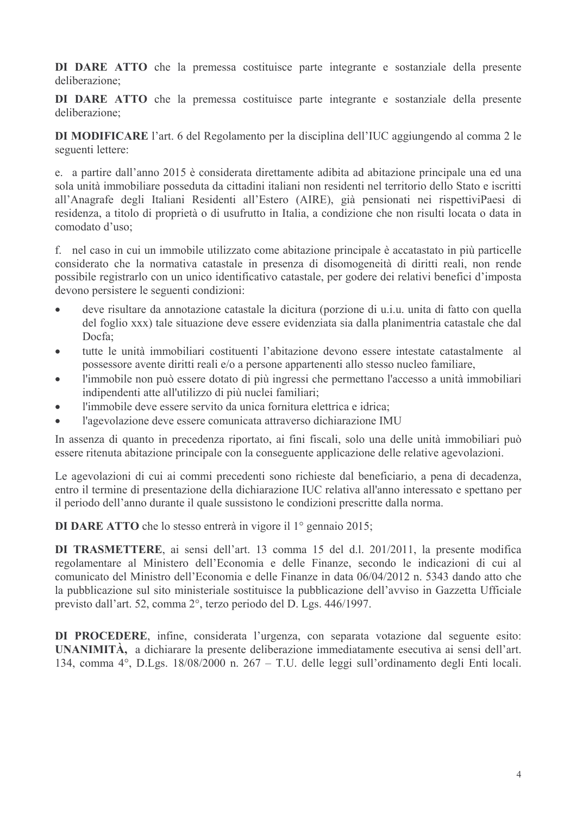DI DARE ATTO che la premessa costituisce parte integrante e sostanziale della presente deliberazione<sup>-</sup>

DI DARE ATTO che la premessa costituisce parte integrante e sostanziale della presente deliberazione<sup>-</sup>

DI MODIFICARE l'art. 6 del Regolamento per la disciplina dell'IUC aggiungendo al comma 2 le seguenti lettere:

e. a partire dall'anno 2015 è considerata direttamente adibita ad abitazione principale una ed una sola unità immobiliare posseduta da cittadini italiani non residenti nel territorio dello Stato e iscritti all'Anagrafe degli Italiani Residenti all'Estero (AIRE), già pensionati nei rispettiviPaesi di residenza, a titolo di proprietà o di usufrutto in Italia, a condizione che non risulti locata o data in comodato d'uso:

f. nel caso in cui un immobile utilizzato come abitazione principale è accatastato in più particelle considerato che la normativa catastale in presenza di disomogeneità di diritti reali, non rende possibile registrarlo con un unico identificativo catastale, per godere dei relativi benefici d'imposta devono persistere le seguenti condizioni:

- deve risultare da annotazione catastale la dicitura (porzione di u.i.u. unita di fatto con quella  $\bullet$ del foglio xxx) tale situazione deve essere evidenziata sia dalla planimentria catastale che dal  $Docfa$
- tutte le unità immobiliari costituenti l'abitazione devono essere intestate catastalmente al  $\bullet$ possessore avente diritti reali e/o a persone appartenenti allo stesso nucleo familiare,
- l'immobile non può essere dotato di più ingressi che permettano l'accesso a unità immobiliari  $\bullet$ indipendenti atte all'utilizzo di più nuclei familiari;
- l'immobile deve essere servito da unica fornitura elettrica e idrica;
- l'agevolazione deve essere comunicata attraverso dichiarazione IMU  $\bullet$

In assenza di quanto in precedenza riportato, ai fini fiscali, solo una delle unità immobiliari può essere ritenuta abitazione principale con la conseguente applicazione delle relative agevolazioni.

Le agevolazioni di cui ai commi precedenti sono richieste dal beneficiario, a pena di decadenza, entro il termine di presentazione della dichiarazione IUC relativa all'anno interessato e spettano per il periodo dell'anno durante il quale sussistono le condizioni prescritte dalla norma.

DI DARE ATTO che lo stesso entrerà in vigore il 1º gennaio 2015;

DI TRASMETTERE, ai sensi dell'art. 13 comma 15 del d.l. 201/2011, la presente modifica regolamentare al Ministero dell'Economia e delle Finanze, secondo le indicazioni di cui al comunicato del Ministro dell'Economia e delle Finanze in data 06/04/2012 n. 5343 dando atto che la pubblicazione sul sito ministeriale sostituisce la pubblicazione dell'avviso in Gazzetta Ufficiale previsto dall'art. 52, comma 2°, terzo periodo del D. Lgs. 446/1997.

DI PROCEDERE, infine, considerata l'urgenza, con separata votazione dal seguente esito: UNANIMITÀ, a dichiarare la presente deliberazione immediatamente esecutiva ai sensi dell'art. 134, comma 4°, D.Lgs. 18/08/2000 n. 267 – T.U. delle leggi sull'ordinamento degli Enti locali.